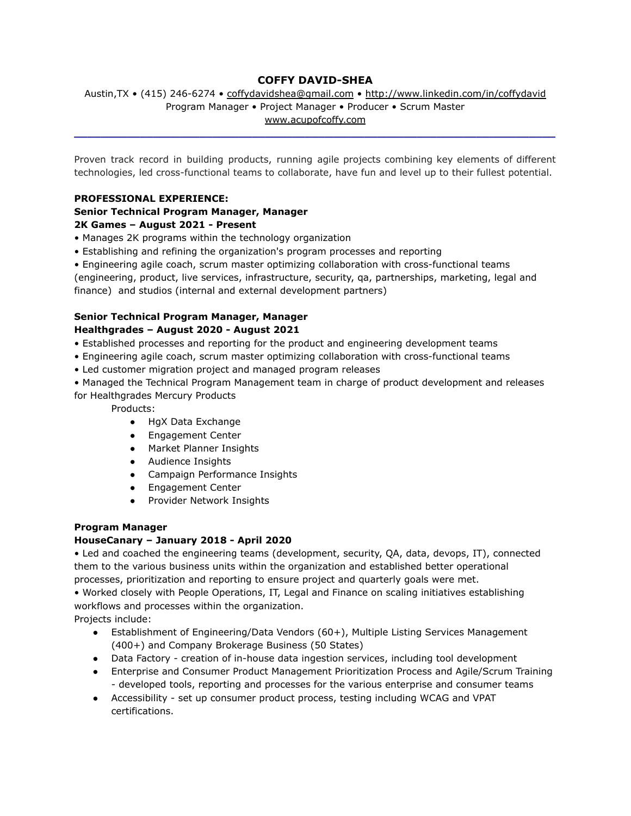# **COFFY DAVID-SHEA**

#### Austin, TX • (415) 246-6274 • [coffydavidshea@gmail.com](mailto:coffydavidshea@gmail.com) • <http://www.linkedin.com/in/coffydavid> Program Manager • Project Manager • Producer • Scrum Master [www.acupofcoffy.com](http://www.acupofcoffy.com)

**\_\_\_\_\_\_\_\_\_\_\_\_\_\_\_\_\_\_\_\_\_\_\_\_\_\_\_\_\_\_\_\_\_\_\_\_\_\_\_\_\_\_\_\_\_\_\_\_\_\_\_\_\_\_\_\_\_\_\_\_\_\_\_\_\_\_\_\_\_\_\_\_\_**

Proven track record in building products, running agile projects combining key elements of different technologies, led cross-functional teams to collaborate, have fun and level up to their fullest potential.

#### **PROFESSIONAL EXPERIENCE:**

# **Senior Technical Program Manager, Manager**

# **2K Games – August 2021 - Present**

- Manages 2K programs within the technology organization
- Establishing and refining the organization's program processes and reporting
- Engineering agile coach, scrum master optimizing collaboration with cross-functional teams

(engineering, product, live services, infrastructure, security, qa, partnerships, marketing, legal and finance) and studios (internal and external development partners)

#### **Senior Technical Program Manager, Manager Healthgrades – August 2020 - August 2021**

- Established processes and reporting for the product and engineering development teams
- Engineering agile coach, scrum master optimizing collaboration with cross-functional teams
- Led customer migration project and managed program releases
- Managed the Technical Program Management team in charge of product development and releases for Healthgrades Mercury Products

Products:

- HgX Data Exchange
- Engagement Center
- Market Planner Insights
- Audience Insights
- Campaign Performance Insights
- Engagement Center
- Provider Network Insights

# **Program Manager**

# **HouseCanary – January 2018 - April 2020**

• Led and coached the engineering teams (development, security, QA, data, devops, IT), connected them to the various business units within the organization and established better operational processes, prioritization and reporting to ensure project and quarterly goals were met. • Worked closely with People Operations, IT, Legal and Finance on scaling initiatives establishing workflows and processes within the organization.

Projects include:

- Establishment of Engineering/Data Vendors (60+), Multiple Listing Services Management (400+) and Company Brokerage Business (50 States)
- Data Factory creation of in-house data ingestion services, including tool development
- Enterprise and Consumer Product Management Prioritization Process and Agile/Scrum Training - developed tools, reporting and processes for the various enterprise and consumer teams
- Accessibility set up consumer product process, testing including WCAG and VPAT certifications.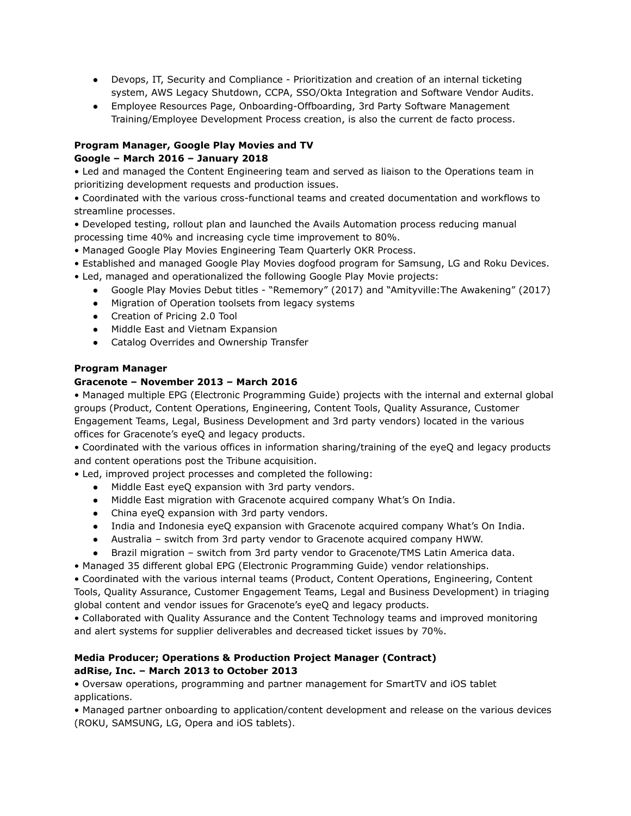- Devops, IT, Security and Compliance Prioritization and creation of an internal ticketing system, AWS Legacy Shutdown, CCPA, SSO/Okta Integration and Software Vendor Audits.
- Employee Resources Page, Onboarding-Offboarding, 3rd Party Software Management Training/Employee Development Process creation, is also the current de facto process.

# **Program Manager, Google Play Movies and TV**

# **Google – March 2016 – January 2018**

• Led and managed the Content Engineering team and served as liaison to the Operations team in prioritizing development requests and production issues.

• Coordinated with the various cross-functional teams and created documentation and workflows to streamline processes.

• Developed testing, rollout plan and launched the Avails Automation process reducing manual processing time 40% and increasing cycle time improvement to 80%.

• Managed Google Play Movies Engineering Team Quarterly OKR Process.

- Established and managed Google Play Movies dogfood program for Samsung, LG and Roku Devices.
- Led, managed and operationalized the following Google Play Movie projects:
	- Google Play Movies Debut titles "Rememory" (2017) and "Amityville:The Awakening" (2017)
	- Migration of Operation toolsets from legacy systems
	- Creation of Pricing 2.0 Tool
	- Middle East and Vietnam Expansion
	- Catalog Overrides and Ownership Transfer

# **Program Manager**

# **Gracenote – November 2013 – March 2016**

• Managed multiple EPG (Electronic Programming Guide) projects with the internal and external global groups (Product, Content Operations, Engineering, Content Tools, Quality Assurance, Customer Engagement Teams, Legal, Business Development and 3rd party vendors) located in the various offices for Gracenote's eyeQ and legacy products.

• Coordinated with the various offices in information sharing/training of the eyeQ and legacy products and content operations post the Tribune acquisition.

• Led, improved project processes and completed the following:

- Middle East eyeQ expansion with 3rd party vendors.
- Middle East migration with Gracenote acquired company What's On India.
- China eyeQ expansion with 3rd party vendors.
- India and Indonesia eyeQ expansion with Gracenote acquired company What's On India.
- Australia switch from 3rd party vendor to Gracenote acquired company HWW.
- Brazil migration switch from 3rd party vendor to Gracenote/TMS Latin America data.

• Managed 35 different global EPG (Electronic Programming Guide) vendor relationships.

• Coordinated with the various internal teams (Product, Content Operations, Engineering, Content Tools, Quality Assurance, Customer Engagement Teams, Legal and Business Development) in triaging global content and vendor issues for Gracenote's eyeQ and legacy products.

• Collaborated with Quality Assurance and the Content Technology teams and improved monitoring and alert systems for supplier deliverables and decreased ticket issues by 70%.

# **Media Producer; Operations & Production Project Manager (Contract) adRise, Inc. – March 2013 to October 2013**

• Oversaw operations, programming and partner management for SmartTV and iOS tablet applications.

• Managed partner onboarding to application/content development and release on the various devices (ROKU, SAMSUNG, LG, Opera and iOS tablets).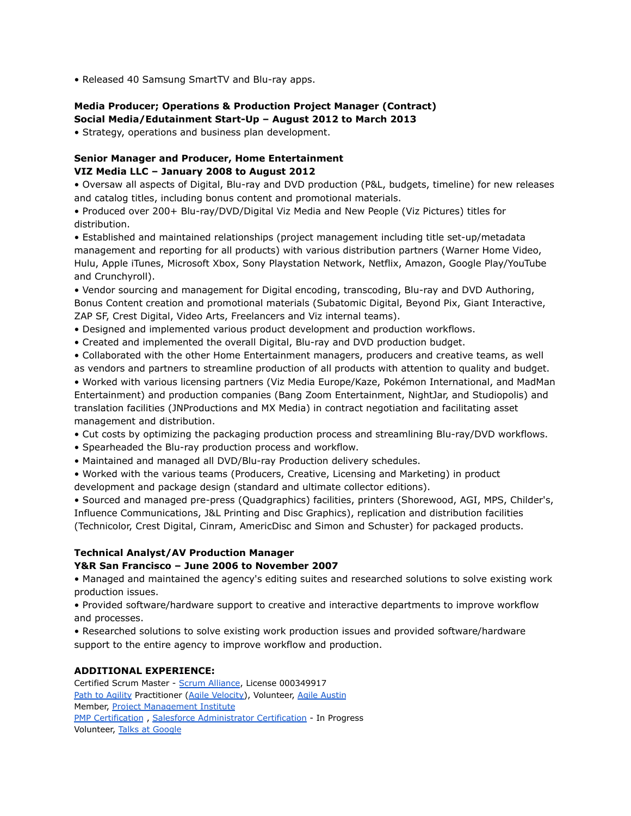• Released 40 Samsung SmartTV and Blu-ray apps.

#### **Media Producer; Operations & Production Project Manager (Contract) Social Media/Edutainment Start-Up – August 2012 to March 2013**

• Strategy, operations and business plan development.

# **Senior Manager and Producer, Home Entertainment VIZ Media LLC – January 2008 to August 2012**

• Oversaw all aspects of Digital, Blu-ray and DVD production (P&L, budgets, timeline) for new releases and catalog titles, including bonus content and promotional materials.

• Produced over 200+ Blu-ray/DVD/Digital Viz Media and New People (Viz Pictures) titles for distribution.

• Established and maintained relationships (project management including title set-up/metadata management and reporting for all products) with various distribution partners (Warner Home Video, Hulu, Apple iTunes, Microsoft Xbox, Sony Playstation Network, Netflix, Amazon, Google Play/YouTube and Crunchyroll).

• Vendor sourcing and management for Digital encoding, transcoding, Blu-ray and DVD Authoring, Bonus Content creation and promotional materials (Subatomic Digital, Beyond Pix, Giant Interactive, ZAP SF, Crest Digital, Video Arts, Freelancers and Viz internal teams).

- Designed and implemented various product development and production workflows.
- Created and implemented the overall Digital, Blu-ray and DVD production budget.
- Collaborated with the other Home Entertainment managers, producers and creative teams, as well as vendors and partners to streamline production of all products with attention to quality and budget.

• Worked with various licensing partners (Viz Media Europe/Kaze, Pokémon International, and MadMan Entertainment) and production companies (Bang Zoom Entertainment, NightJar, and Studiopolis) and translation facilities (JNProductions and MX Media) in contract negotiation and facilitating asset management and distribution.

- Cut costs by optimizing the packaging production process and streamlining Blu-ray/DVD workflows.
- Spearheaded the Blu-ray production process and workflow.
- Maintained and managed all DVD/Blu-ray Production delivery schedules.

• Worked with the various teams (Producers, Creative, Licensing and Marketing) in product development and package design (standard and ultimate collector editions).

• Sourced and managed pre-press (Quadgraphics) facilities, printers (Shorewood, AGI, MPS, Childer's, Influence Communications, J&L Printing and Disc Graphics), replication and distribution facilities (Technicolor, Crest Digital, Cinram, AmericDisc and Simon and Schuster) for packaged products.

#### **Technical Analyst/AV Production Manager**

#### **Y&R San Francisco – June 2006 to November 2007**

• Managed and maintained the agency's editing suites and researched solutions to solve existing work production issues.

• Provided software/hardware support to creative and interactive departments to improve workflow and processes.

• Researched solutions to solve existing work production issues and provided software/hardware support to the entire agency to improve workflow and production.

#### **ADDITIONAL EXPERIENCE:**

Certified Scrum Master - Scrum [Alliance](http://scrumalliance.org), License 000349917 Path to [Agility](https://pathtoagility.com) Practitioner (Agile [Velocity\)](https://agilevelocity.com), Volunteer, Agile [Austin](https://www.agileaustin.org) Member, **Project [Management](https://www.pmi.org) Institute** PMP [Certification](https://www.pmi.org/certifications/types/project-management-pmp) , Salesforce [Administrator](https://trailhead.salesforce.com/credentials/administratoroverview?gclid=Cj0KCQjw6ar4BRDnARIsAITGzlC3UFzN5Cq6I0P4iqcToXqzYbHSZx6zpEyrvAKIB2WHBXCwYNtP1Q4aAvxvEALw_wcB&utm_source=google_sem&utm_medium=paid&utm_campaign=783635661&utm_content=41638882740&utm_keyword=salesforce%20admin%20certification&ef_id=Cj0KCQjw6ar4BRDnARIsAITGzlC3UFzN5Cq6I0P4iqcToXqzYbHSZx6zpEyrvAKIB2WHBXCwYNtP1Q4aAvxvEALw_wcB:G:s&s_kwcid=AL!4604!3!187241050484!e!!g!!salesforce%20admin%20certification&pcrid=187241050484&pdv=c) Certification - In Progress Volunteer, Talks at [Google](https://talksat.withgoogle.com)